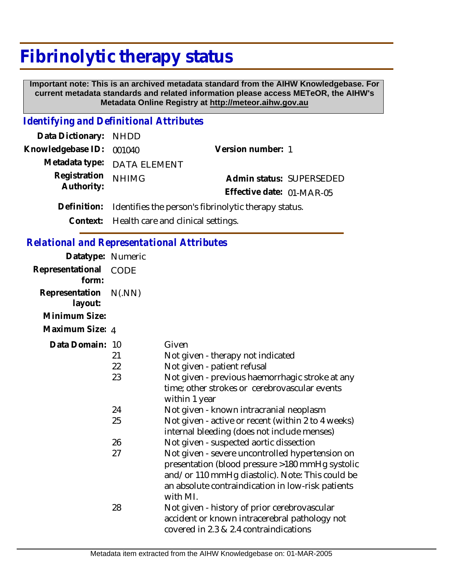## **Fibrinolytic therapy status**

 **Important note: This is an archived metadata standard from the AIHW Knowledgebase. For current metadata standards and related information please access METeOR, the AIHW's Metadata Online Registry at http://meteor.aihw.gov.au**

## *Identifying and Definitional Attributes*

| Data Dictionary: NHDD    |                                                                  |                           |  |
|--------------------------|------------------------------------------------------------------|---------------------------|--|
| Knowledgebase ID: 001040 |                                                                  | Version number: 1         |  |
|                          | Metadata type: DATA ELEMENT                                      |                           |  |
| Registration             | <b>NHIMG</b>                                                     | Admin status: SUPERSEDED  |  |
| Authority:               |                                                                  | Effective date: 01-MAR-05 |  |
|                          | Definition: Identifies the person's fibrinolytic therapy status. |                           |  |
|                          |                                                                  |                           |  |

**Context:** Health care and clinical settings.

| <b>Relational and Representational Attributes</b> |
|---------------------------------------------------|
|---------------------------------------------------|

| Datatype: Numeric              |                            |                                                                                                                                                                                                                                                                                                                                                |
|--------------------------------|----------------------------|------------------------------------------------------------------------------------------------------------------------------------------------------------------------------------------------------------------------------------------------------------------------------------------------------------------------------------------------|
| Representational CODE<br>form: |                            |                                                                                                                                                                                                                                                                                                                                                |
| Representation<br>layout:      | N(MN)                      |                                                                                                                                                                                                                                                                                                                                                |
| Minimum Size:                  |                            |                                                                                                                                                                                                                                                                                                                                                |
| Maximum Size: 4                |                            |                                                                                                                                                                                                                                                                                                                                                |
| Data Domain: 10                | 21<br>22<br>23<br>24<br>25 | Given<br>Not given - therapy not indicated<br>Not given - patient refusal<br>Not given - previous haemorrhagic stroke at any<br>time; other strokes or cerebrovascular events<br>within 1 year<br>Not given - known intracranial neoplasm<br>Not given - active or recent (within 2 to 4 weeks)<br>internal bleeding (does not include menses) |
|                                | 26<br>27                   | Not given - suspected aortic dissection<br>Not given - severe uncontrolled hypertension on<br>presentation (blood pressure >180 mmHg systolic<br>and/or 110 mmHg diastolic). Note: This could be<br>an absolute contraindication in low-risk patients<br>with MI.                                                                              |
|                                | 28                         | Not given - history of prior cerebrovascular<br>accident or known intracerebral pathology not<br>covered in 2.3 & 2.4 contraindications                                                                                                                                                                                                        |
|                                |                            |                                                                                                                                                                                                                                                                                                                                                |